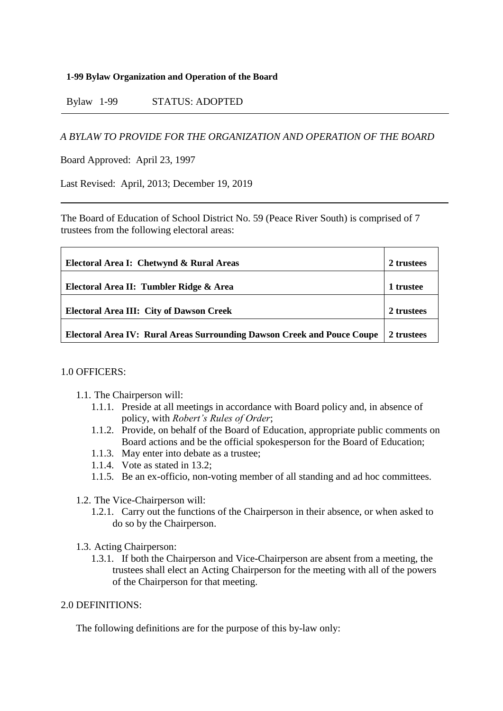#### **1-99 Bylaw Organization and Operation of the Board**

Bylaw 1-99 STATUS: ADOPTED

#### *A BYLAW TO PROVIDE FOR THE ORGANIZATION AND OPERATION OF THE BOARD*

Board Approved: April 23, 1997

Last Revised: April, 2013; December 19, 2019

The Board of Education of School District No. 59 (Peace River South) is comprised of 7 trustees from the following electoral areas:

| Electoral Area I: Chetwynd & Rural Areas                                       | 2 trustees |
|--------------------------------------------------------------------------------|------------|
| Electoral Area II: Tumbler Ridge & Area                                        | trustee    |
| <b>Electoral Area III: City of Dawson Creek</b>                                | 2 trustees |
| <b>Electoral Area IV: Rural Areas Surrounding Dawson Creek and Pouce Coupe</b> | 2 trustees |

#### 1.0 OFFICERS:

- 1.1. The Chairperson will:
	- 1.1.1. Preside at all meetings in accordance with Board policy and, in absence of policy, with *Robert's Rules of Order*;
	- 1.1.2. Provide, on behalf of the Board of Education, appropriate public comments on Board actions and be the official spokesperson for the Board of Education;
	- 1.1.3. May enter into debate as a trustee;
	- 1.1.4. Vote as stated in 13.2;
	- 1.1.5. Be an ex-officio, non-voting member of all standing and ad hoc committees.
- 1.2. The Vice-Chairperson will:
	- 1.2.1. Carry out the functions of the Chairperson in their absence, or when asked to do so by the Chairperson.
- 1.3. Acting Chairperson:
	- 1.3.1. If both the Chairperson and Vice-Chairperson are absent from a meeting, the trustees shall elect an Acting Chairperson for the meeting with all of the powers of the Chairperson for that meeting.

#### 2.0 DEFINITIONS:

The following definitions are for the purpose of this by-law only: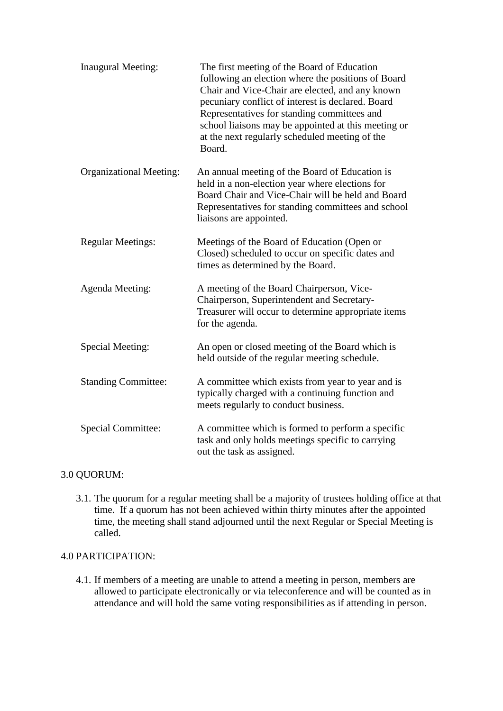| <b>Inaugural Meeting:</b>      | The first meeting of the Board of Education<br>following an election where the positions of Board<br>Chair and Vice-Chair are elected, and any known<br>pecuniary conflict of interest is declared. Board<br>Representatives for standing committees and<br>school liaisons may be appointed at this meeting or<br>at the next regularly scheduled meeting of the<br>Board. |
|--------------------------------|-----------------------------------------------------------------------------------------------------------------------------------------------------------------------------------------------------------------------------------------------------------------------------------------------------------------------------------------------------------------------------|
| <b>Organizational Meeting:</b> | An annual meeting of the Board of Education is<br>held in a non-election year where elections for<br>Board Chair and Vice-Chair will be held and Board<br>Representatives for standing committees and school<br>liaisons are appointed.                                                                                                                                     |
| <b>Regular Meetings:</b>       | Meetings of the Board of Education (Open or<br>Closed) scheduled to occur on specific dates and<br>times as determined by the Board.                                                                                                                                                                                                                                        |
| <b>Agenda Meeting:</b>         | A meeting of the Board Chairperson, Vice-<br>Chairperson, Superintendent and Secretary-<br>Treasurer will occur to determine appropriate items<br>for the agenda.                                                                                                                                                                                                           |
| Special Meeting:               | An open or closed meeting of the Board which is<br>held outside of the regular meeting schedule.                                                                                                                                                                                                                                                                            |
| <b>Standing Committee:</b>     | A committee which exists from year to year and is<br>typically charged with a continuing function and<br>meets regularly to conduct business.                                                                                                                                                                                                                               |
| <b>Special Committee:</b>      | A committee which is formed to perform a specific<br>task and only holds meetings specific to carrying<br>out the task as assigned.                                                                                                                                                                                                                                         |

# 3.0 QUORUM:

3.1. The quorum for a regular meeting shall be a majority of trustees holding office at that time. If a quorum has not been achieved within thirty minutes after the appointed time, the meeting shall stand adjourned until the next Regular or Special Meeting is called.

# 4.0 PARTICIPATION:

4.1. If members of a meeting are unable to attend a meeting in person, members are allowed to participate electronically or via teleconference and will be counted as in attendance and will hold the same voting responsibilities as if attending in person.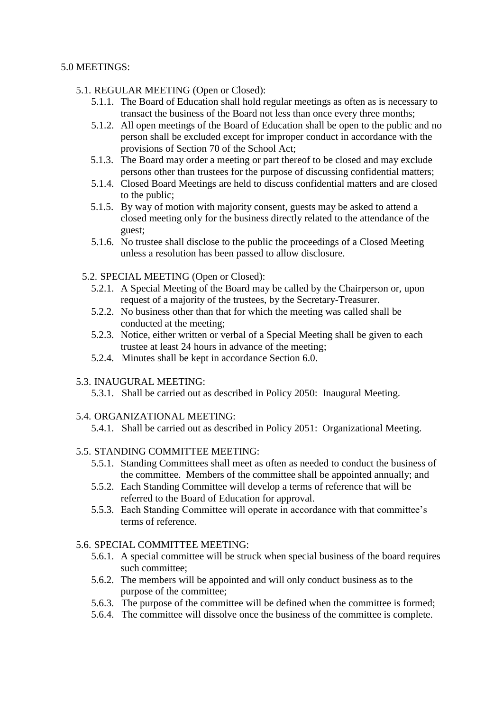#### 5.0 MEETINGS:

# 5.1. REGULAR MEETING (Open or Closed):

- 5.1.1. The Board of Education shall hold regular meetings as often as is necessary to transact the business of the Board not less than once every three months;
- 5.1.2. All open meetings of the Board of Education shall be open to the public and no person shall be excluded except for improper conduct in accordance with the provisions of Section 70 of the School Act;
- 5.1.3. The Board may order a meeting or part thereof to be closed and may exclude persons other than trustees for the purpose of discussing confidential matters;
- 5.1.4. Closed Board Meetings are held to discuss confidential matters and are closed to the public;
- 5.1.5. By way of motion with majority consent, guests may be asked to attend a closed meeting only for the business directly related to the attendance of the guest;
- 5.1.6. No trustee shall disclose to the public the proceedings of a Closed Meeting unless a resolution has been passed to allow disclosure.

# 5.2. SPECIAL MEETING (Open or Closed):

- 5.2.1. A Special Meeting of the Board may be called by the Chairperson or, upon request of a majority of the trustees, by the Secretary-Treasurer.
- 5.2.2. No business other than that for which the meeting was called shall be conducted at the meeting;
- 5.2.3. Notice, either written or verbal of a Special Meeting shall be given to each trustee at least 24 hours in advance of the meeting;
- 5.2.4. Minutes shall be kept in accordance Section 6.0.

# 5.3. INAUGURAL MEETING:

5.3.1. Shall be carried out as described in Policy 2050: Inaugural Meeting.

# 5.4. ORGANIZATIONAL MEETING:

5.4.1. Shall be carried out as described in Policy 2051: Organizational Meeting.

# 5.5. STANDING COMMITTEE MEETING:

- 5.5.1. Standing Committees shall meet as often as needed to conduct the business of the committee. Members of the committee shall be appointed annually; and
- 5.5.2. Each Standing Committee will develop a terms of reference that will be referred to the Board of Education for approval.
- 5.5.3. Each Standing Committee will operate in accordance with that committee's terms of reference.

# 5.6. SPECIAL COMMITTEE MEETING:

- 5.6.1. A special committee will be struck when special business of the board requires such committee;
- 5.6.2. The members will be appointed and will only conduct business as to the purpose of the committee;
- 5.6.3. The purpose of the committee will be defined when the committee is formed;
- 5.6.4. The committee will dissolve once the business of the committee is complete.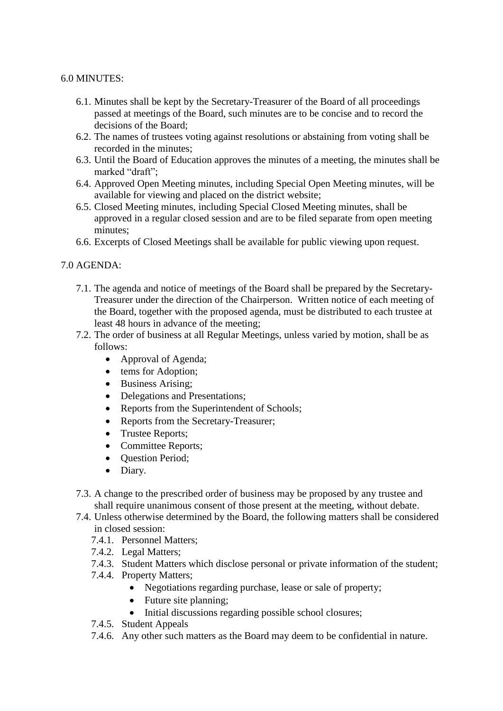#### 6.0 MINUTES:

- 6.1. Minutes shall be kept by the Secretary-Treasurer of the Board of all proceedings passed at meetings of the Board, such minutes are to be concise and to record the decisions of the Board;
- 6.2. The names of trustees voting against resolutions or abstaining from voting shall be recorded in the minutes;
- 6.3. Until the Board of Education approves the minutes of a meeting, the minutes shall be marked "draft";
- 6.4. Approved Open Meeting minutes, including Special Open Meeting minutes, will be available for viewing and placed on the district website;
- 6.5. Closed Meeting minutes, including Special Closed Meeting minutes, shall be approved in a regular closed session and are to be filed separate from open meeting minutes;
- 6.6. Excerpts of Closed Meetings shall be available for public viewing upon request.

# 7.0 AGENDA:

- 7.1. The agenda and notice of meetings of the Board shall be prepared by the Secretary-Treasurer under the direction of the Chairperson. Written notice of each meeting of the Board, together with the proposed agenda, must be distributed to each trustee at least 48 hours in advance of the meeting;
- 7.2. The order of business at all Regular Meetings, unless varied by motion, shall be as follows:
	- Approval of Agenda;
	- tems for Adoption;
	- Business Arising:
	- Delegations and Presentations;
	- Reports from the Superintendent of Schools;
	- Reports from the Secretary-Treasurer;
	- Trustee Reports;
	- Committee Reports;
	- Question Period;
	- Diary.
- 7.3. A change to the prescribed order of business may be proposed by any trustee and shall require unanimous consent of those present at the meeting, without debate.
- 7.4. Unless otherwise determined by the Board, the following matters shall be considered in closed session:
	- 7.4.1. Personnel Matters;
	- 7.4.2. Legal Matters;
	- 7.4.3. Student Matters which disclose personal or private information of the student;
	- 7.4.4. Property Matters;
		- Negotiations regarding purchase, lease or sale of property:
		- Future site planning;
		- Initial discussions regarding possible school closures;
	- 7.4.5. Student Appeals
	- 7.4.6. Any other such matters as the Board may deem to be confidential in nature.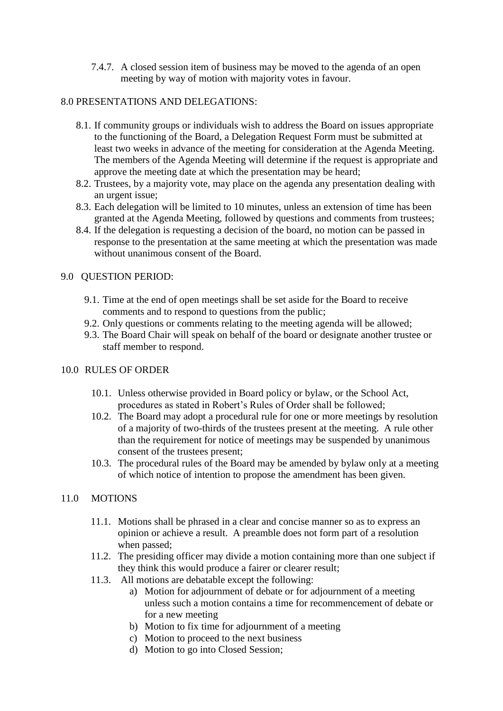7.4.7. A closed session item of business may be moved to the agenda of an open meeting by way of motion with majority votes in favour.

# 8.0 PRESENTATIONS AND DELEGATIONS:

- 8.1. If community groups or individuals wish to address the Board on issues appropriate to the functioning of the Board, a Delegation Request Form must be submitted at least two weeks in advance of the meeting for consideration at the Agenda Meeting. The members of the Agenda Meeting will determine if the request is appropriate and approve the meeting date at which the presentation may be heard;
- 8.2. Trustees, by a majority vote, may place on the agenda any presentation dealing with an urgent issue;
- 8.3. Each delegation will be limited to 10 minutes, unless an extension of time has been granted at the Agenda Meeting, followed by questions and comments from trustees;
- 8.4. If the delegation is requesting a decision of the board, no motion can be passed in response to the presentation at the same meeting at which the presentation was made without unanimous consent of the Board.

#### 9.0 QUESTION PERIOD:

- 9.1. Time at the end of open meetings shall be set aside for the Board to receive comments and to respond to questions from the public;
- 9.2. Only questions or comments relating to the meeting agenda will be allowed;
- 9.3. The Board Chair will speak on behalf of the board or designate another trustee or staff member to respond.

#### 10.0 RULES OF ORDER

- 10.1. Unless otherwise provided in Board policy or bylaw, or the School Act, procedures as stated in Robert's Rules of Order shall be followed;
- 10.2. The Board may adopt a procedural rule for one or more meetings by resolution of a majority of two-thirds of the trustees present at the meeting. A rule other than the requirement for notice of meetings may be suspended by unanimous consent of the trustees present;
- 10.3. The procedural rules of the Board may be amended by bylaw only at a meeting of which notice of intention to propose the amendment has been given.

# 11.0 MOTIONS

- 11.1. Motions shall be phrased in a clear and concise manner so as to express an opinion or achieve a result. A preamble does not form part of a resolution when passed;
- 11.2. The presiding officer may divide a motion containing more than one subject if they think this would produce a fairer or clearer result;
- 11.3. All motions are debatable except the following:
	- a) Motion for adjournment of debate or for adjournment of a meeting unless such a motion contains a time for recommencement of debate or for a new meeting
	- b) Motion to fix time for adjournment of a meeting
	- c) Motion to proceed to the next business
	- d) Motion to go into Closed Session;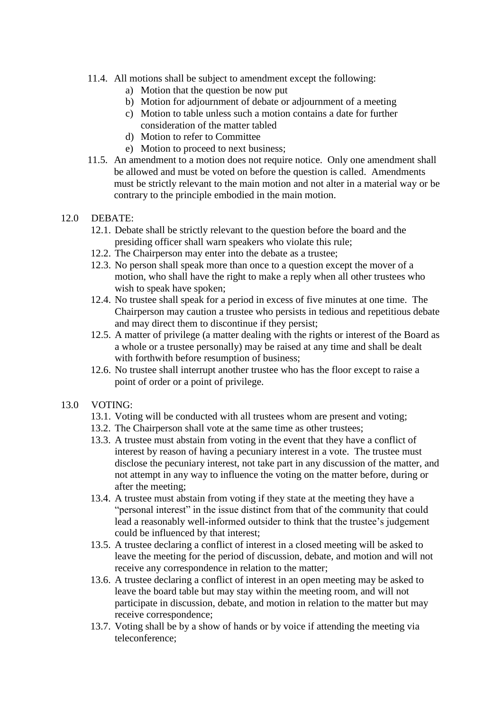- 11.4. All motions shall be subject to amendment except the following:
	- a) Motion that the question be now put
	- b) Motion for adjournment of debate or adjournment of a meeting
	- c) Motion to table unless such a motion contains a date for further consideration of the matter tabled
	- d) Motion to refer to Committee
	- e) Motion to proceed to next business;
- 11.5. An amendment to a motion does not require notice. Only one amendment shall be allowed and must be voted on before the question is called. Amendments must be strictly relevant to the main motion and not alter in a material way or be contrary to the principle embodied in the main motion.
- 12.0 DEBATE:
	- 12.1. Debate shall be strictly relevant to the question before the board and the presiding officer shall warn speakers who violate this rule;
	- 12.2. The Chairperson may enter into the debate as a trustee;
	- 12.3. No person shall speak more than once to a question except the mover of a motion, who shall have the right to make a reply when all other trustees who wish to speak have spoken;
	- 12.4. No trustee shall speak for a period in excess of five minutes at one time. The Chairperson may caution a trustee who persists in tedious and repetitious debate and may direct them to discontinue if they persist;
	- 12.5. A matter of privilege (a matter dealing with the rights or interest of the Board as a whole or a trustee personally) may be raised at any time and shall be dealt with forthwith before resumption of business;
	- 12.6. No trustee shall interrupt another trustee who has the floor except to raise a point of order or a point of privilege.
- 13.0 VOTING:
	- 13.1. Voting will be conducted with all trustees whom are present and voting;
	- 13.2. The Chairperson shall vote at the same time as other trustees;
	- 13.3. A trustee must abstain from voting in the event that they have a conflict of interest by reason of having a pecuniary interest in a vote. The trustee must disclose the pecuniary interest, not take part in any discussion of the matter, and not attempt in any way to influence the voting on the matter before, during or after the meeting;
	- 13.4. A trustee must abstain from voting if they state at the meeting they have a "personal interest" in the issue distinct from that of the community that could lead a reasonably well-informed outsider to think that the trustee's judgement could be influenced by that interest;
	- 13.5. A trustee declaring a conflict of interest in a closed meeting will be asked to leave the meeting for the period of discussion, debate, and motion and will not receive any correspondence in relation to the matter;
	- 13.6. A trustee declaring a conflict of interest in an open meeting may be asked to leave the board table but may stay within the meeting room, and will not participate in discussion, debate, and motion in relation to the matter but may receive correspondence;
	- 13.7. Voting shall be by a show of hands or by voice if attending the meeting via teleconference;